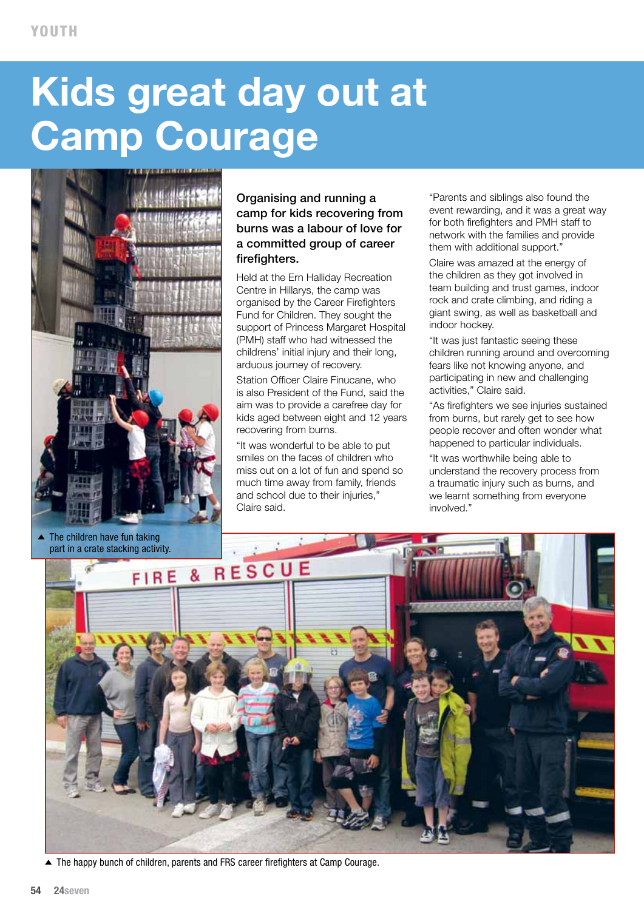## **Kids great day out at Camp Courage**



## Organising and running a camp for kids recovering from burns was a labour of love for a committed group of career firefighters.

Held at the Ern Halliday Recreation Centre in Hillarys, the camp was organised by the Career Firefighters Fund for Children. They sought the support of Princess Margaret Hospital (PMH) staff who had witnessed the childrens' initial injury and their long, arduous journey of recovery.

Station Officer Claire Finucane, who is also President of the Fund, said the aim was to provide a carefree day for kids aged between eight and 12 years recovering from burns.

"It was wonderful to be able to put smiles on the faces of children who miss out on a lot of fun and spend so much time away from family, friends and school due to their injuries," Claire said.

"Parents and siblings also found the event rewarding, and it was a great way for both firefighters and PMH staff to network with the families and provide them with additional support."

Claire was amazed at the energy of the children as they got involved in team building and trust games, indoor rock and crate climbing, and riding a giant swing, as well as basketball and indoor hockey.

"It was just fantastic seeing these children running around and overcoming fears like not knowing anyone, and participating in new and challenging activities," Claire said.

"As firefighters we see injuries sustained from burns, but rarely get to see how people recover and often wonder what happened to particular individuals.

"It was worthwhile being able to understand the recovery process from a traumatic injury such as burns, and we learnt something from everyone involved."



▲ The happy bunch of children, parents and FRS career firefighters at Camp Courage.